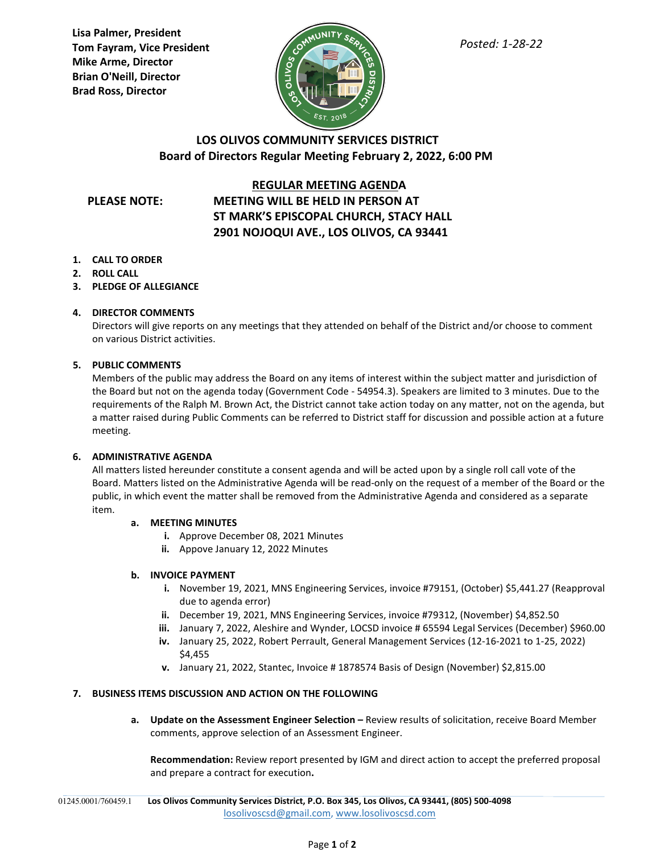**Lisa Palmer, President Tom Fayram, Vice President Mike Arme, Director Brian O'Neill, Director Brad Ross, Director**



## **LOS OLIVOS COMMUNITY SERVICES DISTRICT Board of Directors Regular Meeting February 2, 2022, 6:00 PM**

## **REGULAR MEETING AGENDA**

# **PLEASE NOTE: MEETING WILL BE HELD IN PERSON AT ST MARK'S EPISCOPAL CHURCH, STACY HALL 2901 NOJOQUI AVE., LOS OLIVOS, CA 93441**

- **1. CALL TO ORDER**
- **2. ROLL CALL**
- **3. PLEDGE OF ALLEGIANCE**

### **4. DIRECTOR COMMENTS**

Directors will give reports on any meetings that they attended on behalf of the District and/or choose to comment on various District activities.

### **5. PUBLIC COMMENTS**

Members of the public may address the Board on any items of interest within the subject matter and jurisdiction of the Board but not on the agenda today (Government Code - 54954.3). Speakers are limited to 3 minutes. Due to the requirements of the Ralph M. Brown Act, the District cannot take action today on any matter, not on the agenda, but a matter raised during Public Comments can be referred to District staff for discussion and possible action at a future meeting.

## **6. ADMINISTRATIVE AGENDA**

All matters listed hereunder constitute a consent agenda and will be acted upon by a single roll call vote of the Board. Matters listed on the Administrative Agenda will be read-only on the request of a member of the Board or the public, in which event the matter shall be removed from the Administrative Agenda and considered as a separate item.

#### **a. MEETING MINUTES**

- **i.** Approve December 08, 2021 Minutes
- **ii.** Appove January 12, 2022 Minutes

## **b. INVOICE PAYMENT**

- **i.** November 19, 2021, MNS Engineering Services, invoice #79151, (October) \$5,441.27 (Reapproval due to agenda error)
- **ii.** December 19, 2021, MNS Engineering Services, invoice #79312, (November) \$4,852.50
- **iii.** January 7, 2022, Aleshire and Wynder, LOCSD invoice # 65594 Legal Services (December) \$960.00
- **iv.** January 25, 2022, Robert Perrault, General Management Services (12-16-2021 to 1-25, 2022) \$4,455
- **v.** January 21, 2022, Stantec, Invoice # 1878574 Basis of Design (November) \$2,815.00

## **7. BUSINESS ITEMS DISCUSSION AND ACTION ON THE FOLLOWING**

**a. Update on the Assessment Engineer Selection –** Review results of solicitation, receive Board Member comments, approve selection of an Assessment Engineer.

**Recommendation:** Review report presented by IGM and direct action to accept the preferred proposal and prepare a contract for execution**.**